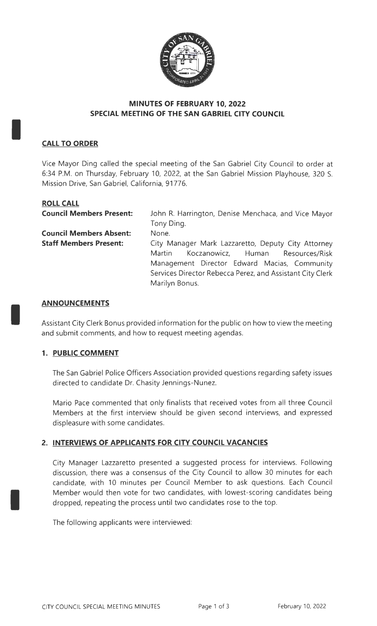

#### **MINUTES OF FEBRUARY 10, 2022 SPECIAL MEETING OF THE SAN GABRIEL CITY COUNCIL**

# **CALL TO ORDER**

I

I

I

Vice Mayor Ding called the special meeting of the San Gabriel City Council to order at 6:34 P.M. on Thursday, February 10, 2022, at the San Gabriel Mission Playhouse, 320 S. Mission Drive, San Gabriel, California, 91776.

| <b>ROLL CALL</b>                |                                                           |  |  |  |
|---------------------------------|-----------------------------------------------------------|--|--|--|
| <b>Council Members Present:</b> | John R. Harrington, Denise Menchaca, and Vice Mayor       |  |  |  |
|                                 | Tony Ding.                                                |  |  |  |
| <b>Council Members Absent:</b>  | None.                                                     |  |  |  |
| <b>Staff Members Present:</b>   | City Manager Mark Lazzaretto, Deputy City Attorney        |  |  |  |
|                                 | Koczanowicz, Human Resources/Risk<br>Martin               |  |  |  |
|                                 | Management Director Edward Macias, Community              |  |  |  |
|                                 | Services Director Rebecca Perez, and Assistant City Clerk |  |  |  |
|                                 | Marilyn Bonus.                                            |  |  |  |
|                                 |                                                           |  |  |  |

#### **ANNOUNCEMENTS**

Assistant City Clerk Bonus provided information for the public on how to view the meeting and submit comments, and how to request meeting agendas.

# **1. PUBLIC COMMENT**

The San Gabriel Police Officers Association provided questions regarding safety issues directed to candidate Dr. Chasity Jennings-Nunez.

Mario Pace commented that only finalists that received votes from all three Council Members at the first interview should be given second interviews, and expressed displeasure with some candidates.

# **2. INTERVIEWS OF APPLICANTS FOR CITY COUNCIL VACANCIES**

City Manager Lazzaretto presented a suggested process for interviews. Following discussion, there was a consensus of the City Council to allow 30 minutes for each candidate, with 10 minutes per Council Member to ask questions. Each Council Member would then vote for two candidates, with lowest-scoring candidates being dropped, repeating the process until two candidates rose to the top.

The following applicants were interviewed: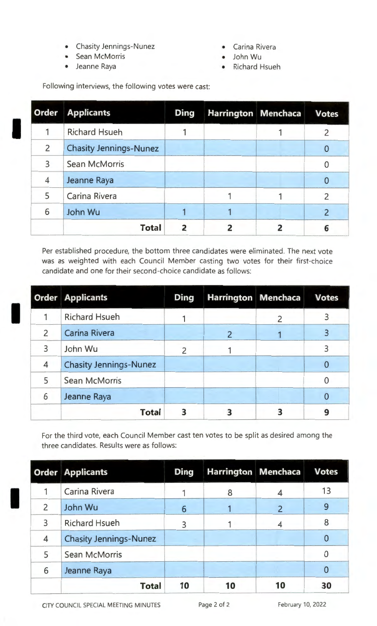- Chasity Jennings-Nunez Carina Rivera
- Sean McMorris John Wu
- Jeanne Raya Richard Hsueh

I

I

- 
- 
- 

Following interviews, the following votes were cast:

| <b>Order</b>   | <b>Applicants</b>             | <b>Ding</b> | <b>Harrington Menchaca</b> |   | <b>Votes</b> |
|----------------|-------------------------------|-------------|----------------------------|---|--------------|
|                | <b>Richard Hsueh</b>          |             |                            |   | Z            |
| $\overline{2}$ | <b>Chasity Jennings-Nunez</b> |             |                            |   |              |
| 3              | <b>Sean McMorris</b>          |             |                            |   |              |
| 4              | Jeanne Raya                   |             |                            |   |              |
| 5              | Carina Rivera                 |             |                            |   |              |
| 6              | John Wu                       |             |                            |   |              |
|                | <b>Total</b>                  | 2           |                            | 2 | 6            |

Per established procedure, the bottom three candidates were eliminated. The next vote was as weighted with each Council Member casting two votes for their first-choice candidate and one for their second-choice candidate as follows:

|                | <b>Order Applicants</b>       | <b>Ding</b> | <b>Harrington Menchaca</b> |                | <b>Votes</b> |
|----------------|-------------------------------|-------------|----------------------------|----------------|--------------|
|                | <b>Richard Hsueh</b>          |             |                            | $\overline{2}$ |              |
| $\overline{2}$ | <b>Carina Rivera</b>          |             |                            |                |              |
| $\overline{3}$ | John Wu                       | 2           |                            |                | ξ            |
| 4              | <b>Chasity Jennings-Nunez</b> |             |                            |                |              |
| 5              | Sean McMorris                 |             |                            |                |              |
| 6              | Jeanne Raya                   |             |                            |                |              |
|                | <b>Total</b>                  |             |                            |                |              |

For the third vote, each Council Member cast ten votes to be split as desired among the three candidates. Results were as follows:

|                          | <b>Order Applicants</b>       | <b>Ding</b> | Harrington Menchaca |                | <b>Votes</b>   |
|--------------------------|-------------------------------|-------------|---------------------|----------------|----------------|
|                          | Carina Rivera                 |             | 8                   |                | 13             |
| $\overline{\phantom{0}}$ | John Wu                       | 6           |                     | $\overline{2}$ | 9              |
| 3                        | <b>Richard Hsueh</b>          | 3           |                     |                | 8              |
| $\overline{4}$           | <b>Chasity Jennings-Nunez</b> |             |                     |                | 0              |
| 5                        | <b>Sean McMorris</b>          |             |                     |                |                |
| 6                        | Jeanne Raya                   |             |                     |                | $\overline{0}$ |
|                          | <b>Total</b>                  | 10          | 10                  | 10             | 30             |